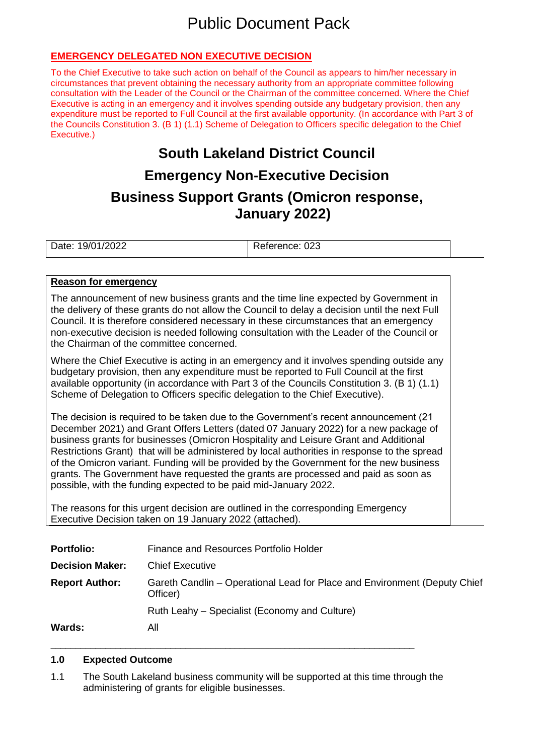# Public Document Pack

# **EMERGENCY DELEGATED NON EXECUTIVE DECISION**

To the Chief Executive to take such action on behalf of the Council as appears to him/her necessary in circumstances that prevent obtaining the necessary authority from an appropriate committee following consultation with the Leader of the Council or the Chairman of the committee concerned. Where the Chief Executive is acting in an emergency and it involves spending outside any budgetary provision, then any expenditure must be reported to Full Council at the first available opportunity. (In accordance with Part 3 of the Councils Constitution 3. (B 1) (1.1) Scheme of Delegation to Officers specific delegation to the Chief Executive.)

# **South Lakeland District Council**

# **Emergency Non-Executive Decision**

# **Business Support Grants (Omicron response, January 2022)**

Date: 19/01/2022 Reference: 023

#### **Reason for emergency**

The announcement of new business grants and the time line expected by Government in the delivery of these grants do not allow the Council to delay a decision until the next Full Council. It is therefore considered necessary in these circumstances that an emergency non-executive decision is needed following consultation with the Leader of the Council or the Chairman of the committee concerned.

Where the Chief Executive is acting in an emergency and it involves spending outside any budgetary provision, then any expenditure must be reported to Full Council at the first available opportunity (in accordance with Part 3 of the Councils Constitution 3. (B 1) (1.1) Scheme of Delegation to Officers specific delegation to the Chief Executive).

The decision is required to be taken due to the Government's recent announcement (21 December 2021) and Grant Offers Letters (dated 07 January 2022) for a new package of business grants for businesses (Omicron Hospitality and Leisure Grant and Additional Restrictions Grant) that will be administered by local authorities in response to the spread of the Omicron variant. Funding will be provided by the Government for the new business grants. The Government have requested the grants are processed and paid as soon as possible, with the funding expected to be paid mid-January 2022.

The reasons for this urgent decision are outlined in the corresponding Emergency Executive Decision taken on 19 January 2022 (attached).

| <b>Portfolio:</b>      | Finance and Resources Portfolio Holder                                                |  |
|------------------------|---------------------------------------------------------------------------------------|--|
| <b>Decision Maker:</b> | <b>Chief Executive</b>                                                                |  |
| <b>Report Author:</b>  | Gareth Candlin – Operational Lead for Place and Environment (Deputy Chief<br>Officer) |  |
|                        | Ruth Leahy – Specialist (Economy and Culture)                                         |  |
| <b>Wards:</b>          | All                                                                                   |  |

### **1.0 Expected Outcome**

1.1 The South Lakeland business community will be supported at this time through the administering of grants for eligible businesses.

\_\_\_\_\_\_\_\_\_\_\_\_\_\_\_\_\_\_\_\_\_\_\_\_\_\_\_\_\_\_\_\_\_\_\_\_\_\_\_\_\_\_\_\_\_\_\_\_\_\_\_\_\_\_\_\_\_\_\_\_\_\_\_\_\_\_\_\_\_\_\_\_\_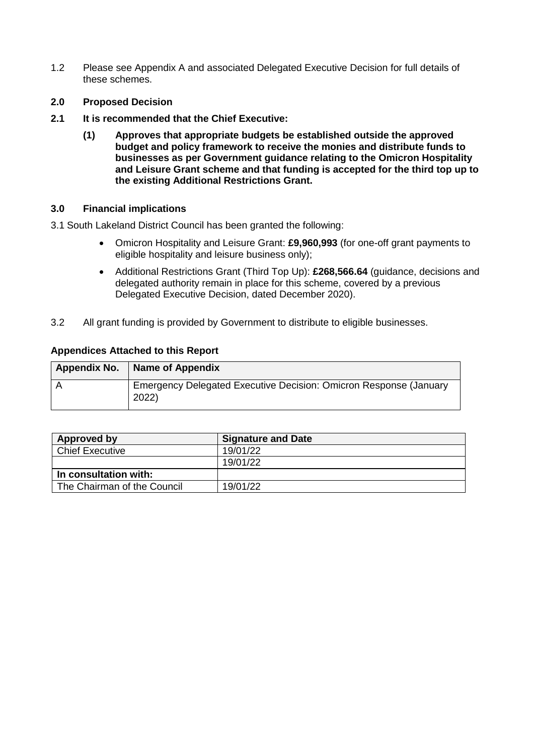- 1.2 Please see Appendix A and associated Delegated Executive Decision for full details of these schemes.
- **2.0 Proposed Decision**
- **2.1 It is recommended that the Chief Executive:**
	- **(1) Approves that appropriate budgets be established outside the approved budget and policy framework to receive the monies and distribute funds to businesses as per Government guidance relating to the Omicron Hospitality and Leisure Grant scheme and that funding is accepted for the third top up to the existing Additional Restrictions Grant.**

# **3.0 Financial implications**

3.1 South Lakeland District Council has been granted the following:

- Omicron Hospitality and Leisure Grant: **£9,960,993** (for one-off grant payments to eligible hospitality and leisure business only);
- Additional Restrictions Grant (Third Top Up): **£268,566.64** (guidance, decisions and delegated authority remain in place for this scheme, covered by a previous Delegated Executive Decision, dated December 2020).
- 3.2 All grant funding is provided by Government to distribute to eligible businesses.

# **Appendices Attached to this Report**

| Appendix No. | Name of Appendix                                                           |
|--------------|----------------------------------------------------------------------------|
|              | Emergency Delegated Executive Decision: Omicron Response (January<br>2022) |

| Approved by                 | <b>Signature and Date</b> |
|-----------------------------|---------------------------|
| <b>Chief Executive</b>      | 19/01/22                  |
|                             | 19/01/22                  |
| In consultation with:       |                           |
| The Chairman of the Council | 19/01/22                  |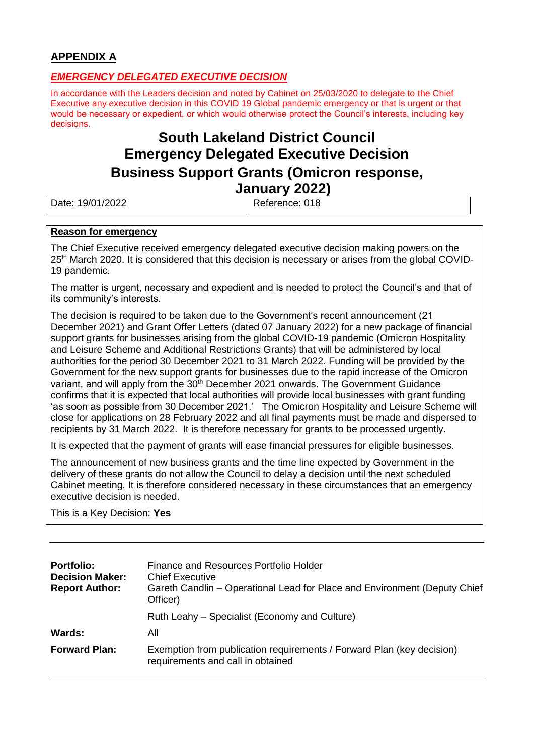# **APPENDIX A**

# *EMERGENCY DELEGATED EXECUTIVE DECISION*

In accordance with the Leaders decision and noted by Cabinet on 25/03/2020 to delegate to the Chief Executive any executive decision in this COVID 19 Global pandemic emergency or that is urgent or that would be necessary or expedient, or which would otherwise protect the Council's interests, including key decisions.

# **South Lakeland District Council Emergency Delegated Executive Decision Business Support Grants (Omicron response, January 2022)**

Date: 19/01/2022

# **Reason for emergency**

The Chief Executive received emergency delegated executive decision making powers on the 25<sup>th</sup> March 2020. It is considered that this decision is necessary or arises from the global COVID-19 pandemic.

The matter is urgent, necessary and expedient and is needed to protect the Council's and that of its community's interests.

The decision is required to be taken due to the Government's recent announcement (21 December 2021) and Grant Offer Letters (dated 07 January 2022) for a new package of financial support grants for businesses arising from the global COVID-19 pandemic (Omicron Hospitality and Leisure Scheme and Additional Restrictions Grants) that will be administered by local authorities for the period 30 December 2021 to 31 March 2022. Funding will be provided by the Government for the new support grants for businesses due to the rapid increase of the Omicron variant, and will apply from the 30<sup>th</sup> December 2021 onwards. The Government Guidance confirms that it is expected that local authorities will provide local businesses with grant funding 'as soon as possible from 30 December 2021.' The Omicron Hospitality and Leisure Scheme will close for applications on 28 February 2022 and all final payments must be made and dispersed to recipients by 31 March 2022. It is therefore necessary for grants to be processed urgently.

It is expected that the payment of grants will ease financial pressures for eligible businesses.

The announcement of new business grants and the time line expected by Government in the delivery of these grants do not allow the Council to delay a decision until the next scheduled Cabinet meeting. It is therefore considered necessary in these circumstances that an emergency executive decision is needed.

This is a Key Decision: **Yes**

| <b>Portfolio:</b><br><b>Decision Maker:</b><br><b>Report Author:</b> | Finance and Resources Portfolio Holder<br><b>Chief Executive</b><br>Gareth Candlin - Operational Lead for Place and Environment (Deputy Chief<br>Officer) |
|----------------------------------------------------------------------|-----------------------------------------------------------------------------------------------------------------------------------------------------------|
|                                                                      | Ruth Leahy – Specialist (Economy and Culture)                                                                                                             |
| <b>Wards:</b>                                                        | All                                                                                                                                                       |
| <b>Forward Plan:</b>                                                 | Exemption from publication requirements / Forward Plan (key decision)<br>requirements and call in obtained                                                |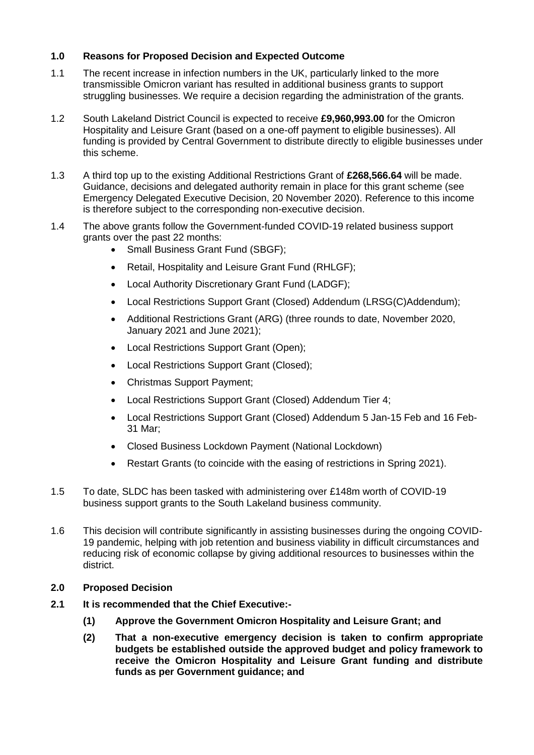# **1.0 Reasons for Proposed Decision and Expected Outcome**

- 1.1 The recent increase in infection numbers in the UK, particularly linked to the more transmissible Omicron variant has resulted in additional business grants to support struggling businesses. We require a decision regarding the administration of the grants.
- 1.2 South Lakeland District Council is expected to receive **£9,960,993.00** for the Omicron Hospitality and Leisure Grant (based on a one-off payment to eligible businesses). All funding is provided by Central Government to distribute directly to eligible businesses under this scheme.
- 1.3 A third top up to the existing Additional Restrictions Grant of **£268,566.64** will be made. Guidance, decisions and delegated authority remain in place for this grant scheme (see Emergency Delegated Executive Decision, 20 November 2020). Reference to this income is therefore subject to the corresponding non-executive decision.
- 1.4 The above grants follow the Government-funded COVID-19 related business support grants over the past 22 months:
	- Small Business Grant Fund (SBGF);
	- Retail, Hospitality and Leisure Grant Fund (RHLGF);
	- Local Authority Discretionary Grant Fund (LADGF);
	- Local Restrictions Support Grant (Closed) Addendum (LRSG(C)Addendum);
	- Additional Restrictions Grant (ARG) (three rounds to date, November 2020, January 2021 and June 2021);
	- Local Restrictions Support Grant (Open);
	- Local Restrictions Support Grant (Closed);
	- Christmas Support Payment;
	- Local Restrictions Support Grant (Closed) Addendum Tier 4;
	- Local Restrictions Support Grant (Closed) Addendum 5 Jan-15 Feb and 16 Feb-31 Mar;
	- Closed Business Lockdown Payment (National Lockdown)
	- Restart Grants (to coincide with the easing of restrictions in Spring 2021).
- 1.5 To date, SLDC has been tasked with administering over £148m worth of COVID-19 business support grants to the South Lakeland business community.
- 1.6 This decision will contribute significantly in assisting businesses during the ongoing COVID-19 pandemic, helping with job retention and business viability in difficult circumstances and reducing risk of economic collapse by giving additional resources to businesses within the district.
- **2.0 Proposed Decision**
- **2.1 It is recommended that the Chief Executive:-**
	- **(1) Approve the Government Omicron Hospitality and Leisure Grant; and**
	- **(2) That a non-executive emergency decision is taken to confirm appropriate budgets be established outside the approved budget and policy framework to receive the Omicron Hospitality and Leisure Grant funding and distribute funds as per Government guidance; and**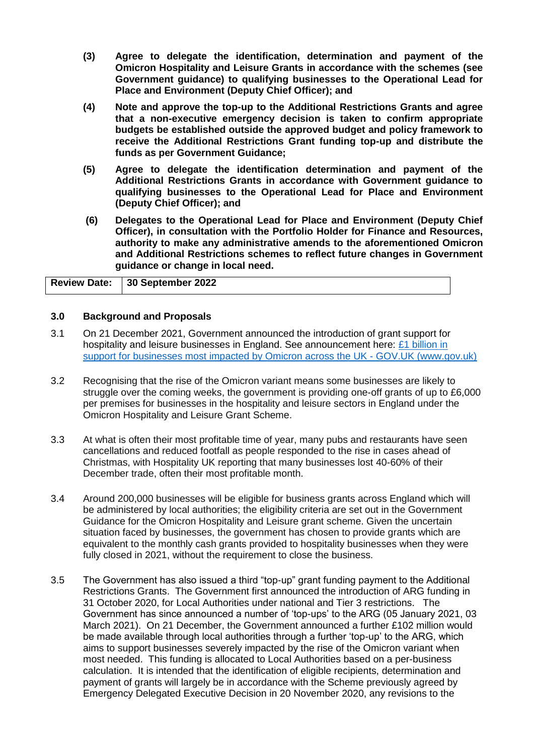- **(3) Agree to delegate the identification, determination and payment of the Omicron Hospitality and Leisure Grants in accordance with the schemes (see Government guidance) to qualifying businesses to the Operational Lead for Place and Environment (Deputy Chief Officer); and**
- **(4) Note and approve the top-up to the Additional Restrictions Grants and agree that a non-executive emergency decision is taken to confirm appropriate budgets be established outside the approved budget and policy framework to receive the Additional Restrictions Grant funding top-up and distribute the funds as per Government Guidance;**
- **(5) Agree to delegate the identification determination and payment of the Additional Restrictions Grants in accordance with Government guidance to qualifying businesses to the Operational Lead for Place and Environment (Deputy Chief Officer); and**
- **(6) Delegates to the Operational Lead for Place and Environment (Deputy Chief Officer), in consultation with the Portfolio Holder for Finance and Resources, authority to make any administrative amends to the aforementioned Omicron and Additional Restrictions schemes to reflect future changes in Government guidance or change in local need.**

| Review Date: 30 September 2022 |
|--------------------------------|
|                                |

### **3.0 Background and Proposals**

- 3.1 On 21 December 2021, Government announced the introduction of grant support for hospitality and leisure businesses in England. See announcement here:  $£1$  billion in [support for businesses most impacted by Omicron across the UK -](https://www.gov.uk/government/news/1-billion-in-support-for-businesses-most-impacted-by-omicron-across-the-uk) GOV.UK (www.gov.uk)
- 3.2 Recognising that the rise of the Omicron variant means some businesses are likely to struggle over the coming weeks, the government is providing one-off grants of up to £6,000 per premises for businesses in the hospitality and leisure sectors in England under the Omicron Hospitality and Leisure Grant Scheme.
- 3.3 At what is often their most profitable time of year, many pubs and restaurants have seen cancellations and reduced footfall as people responded to the rise in cases ahead of Christmas, with Hospitality UK reporting that many businesses lost 40-60% of their December trade, often their most profitable month.
- 3.4 Around 200,000 businesses will be eligible for business grants across England which will be administered by local authorities; the eligibility criteria are set out in the Government Guidance for the Omicron Hospitality and Leisure grant scheme. Given the uncertain situation faced by businesses, the government has chosen to provide grants which are equivalent to the monthly cash grants provided to hospitality businesses when they were fully closed in 2021, without the requirement to close the business.
- 3.5 The Government has also issued a third "top-up" grant funding payment to the Additional Restrictions Grants. The Government first announced the introduction of ARG funding in 31 October 2020, for Local Authorities under national and Tier 3 restrictions. The Government has since announced a number of 'top-ups' to the ARG (05 January 2021, 03 March 2021). On 21 December, the Government announced a further £102 million would be made available through local authorities through a further 'top-up' to the ARG, which aims to support businesses severely impacted by the rise of the Omicron variant when most needed. This funding is allocated to Local Authorities based on a per-business calculation. It is intended that the identification of eligible recipients, determination and payment of grants will largely be in accordance with the Scheme previously agreed by Emergency Delegated Executive Decision in 20 November 2020, any revisions to the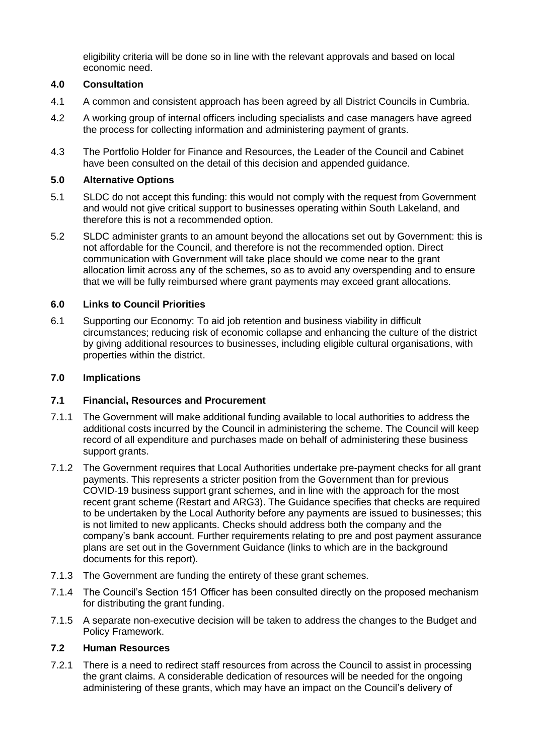eligibility criteria will be done so in line with the relevant approvals and based on local economic need.

# **4.0 Consultation**

- 4.1 A common and consistent approach has been agreed by all District Councils in Cumbria.
- 4.2 A working group of internal officers including specialists and case managers have agreed the process for collecting information and administering payment of grants.
- 4.3 The Portfolio Holder for Finance and Resources, the Leader of the Council and Cabinet have been consulted on the detail of this decision and appended guidance.

# **5.0 Alternative Options**

- 5.1 SLDC do not accept this funding: this would not comply with the request from Government and would not give critical support to businesses operating within South Lakeland, and therefore this is not a recommended option.
- 5.2 SLDC administer grants to an amount beyond the allocations set out by Government: this is not affordable for the Council, and therefore is not the recommended option. Direct communication with Government will take place should we come near to the grant allocation limit across any of the schemes, so as to avoid any overspending and to ensure that we will be fully reimbursed where grant payments may exceed grant allocations.

# **6.0 Links to Council Priorities**

6.1 Supporting our Economy: To aid job retention and business viability in difficult circumstances; reducing risk of economic collapse and enhancing the culture of the district by giving additional resources to businesses, including eligible cultural organisations, with properties within the district.

# **7.0 Implications**

### **7.1 Financial, Resources and Procurement**

- 7.1.1 The Government will make additional funding available to local authorities to address the additional costs incurred by the Council in administering the scheme. The Council will keep record of all expenditure and purchases made on behalf of administering these business support grants.
- 7.1.2 The Government requires that Local Authorities undertake pre-payment checks for all grant payments. This represents a stricter position from the Government than for previous COVID-19 business support grant schemes, and in line with the approach for the most recent grant scheme (Restart and ARG3). The Guidance specifies that checks are required to be undertaken by the Local Authority before any payments are issued to businesses; this is not limited to new applicants. Checks should address both the company and the company's bank account. Further requirements relating to pre and post payment assurance plans are set out in the Government Guidance (links to which are in the background documents for this report).
- 7.1.3 The Government are funding the entirety of these grant schemes.
- 7.1.4 The Council's Section 151 Officer has been consulted directly on the proposed mechanism for distributing the grant funding.
- 7.1.5 A separate non-executive decision will be taken to address the changes to the Budget and Policy Framework.

### **7.2 Human Resources**

7.2.1 There is a need to redirect staff resources from across the Council to assist in processing the grant claims. A considerable dedication of resources will be needed for the ongoing administering of these grants, which may have an impact on the Council's delivery of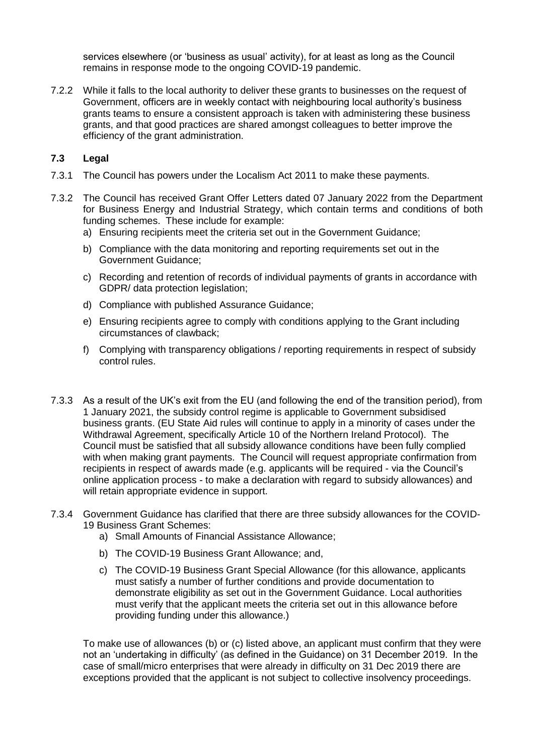services elsewhere (or 'business as usual' activity), for at least as long as the Council remains in response mode to the ongoing COVID-19 pandemic.

7.2.2 While it falls to the local authority to deliver these grants to businesses on the request of Government, officers are in weekly contact with neighbouring local authority's business grants teams to ensure a consistent approach is taken with administering these business grants, and that good practices are shared amongst colleagues to better improve the efficiency of the grant administration.

#### **7.3 Legal**

- 7.3.1 The Council has powers under the Localism Act 2011 to make these payments.
- 7.3.2 The Council has received Grant Offer Letters dated 07 January 2022 from the Department for Business Energy and Industrial Strategy, which contain terms and conditions of both funding schemes. These include for example:
	- a) Ensuring recipients meet the criteria set out in the Government Guidance;
	- b) Compliance with the data monitoring and reporting requirements set out in the Government Guidance;
	- c) Recording and retention of records of individual payments of grants in accordance with GDPR/ data protection legislation;
	- d) Compliance with published Assurance Guidance;
	- e) Ensuring recipients agree to comply with conditions applying to the Grant including circumstances of clawback;
	- f) Complying with transparency obligations / reporting requirements in respect of subsidy control rules.
- 7.3.3 As a result of the UK's exit from the EU (and following the end of the transition period), from 1 January 2021, the subsidy control regime is applicable to Government subsidised business grants. (EU State Aid rules will continue to apply in a minority of cases under the Withdrawal Agreement, specifically Article 10 of the Northern Ireland Protocol). The Council must be satisfied that all subsidy allowance conditions have been fully complied with when making grant payments. The Council will request appropriate confirmation from recipients in respect of awards made (e.g. applicants will be required - via the Council's online application process - to make a declaration with regard to subsidy allowances) and will retain appropriate evidence in support.
- 7.3.4 Government Guidance has clarified that there are three subsidy allowances for the COVID-19 Business Grant Schemes:
	- a) Small Amounts of Financial Assistance Allowance;
	- b) The COVID-19 Business Grant Allowance; and,
	- c) The COVID-19 Business Grant Special Allowance (for this allowance, applicants must satisfy a number of further conditions and provide documentation to demonstrate eligibility as set out in the Government Guidance. Local authorities must verify that the applicant meets the criteria set out in this allowance before providing funding under this allowance.)

To make use of allowances (b) or (c) listed above, an applicant must confirm that they were not an 'undertaking in difficulty' (as defined in the Guidance) on 31 December 2019. In the case of small/micro enterprises that were already in difficulty on 31 Dec 2019 there are exceptions provided that the applicant is not subject to collective insolvency proceedings.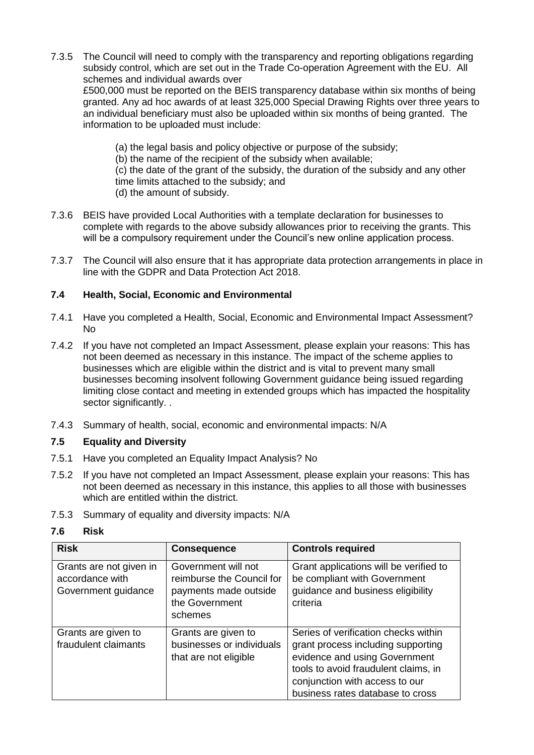- 7.3.5 The Council will need to comply with the transparency and reporting obligations regarding subsidy control, which are set out in the Trade Co-operation Agreement with the EU. All schemes and individual awards over £500,000 must be reported on the BEIS transparency database within six months of being granted. Any ad hoc awards of at least 325,000 Special Drawing Rights over three years to an individual beneficiary must also be uploaded within six months of being granted. The information to be uploaded must include:
	- (a) the legal basis and policy objective or purpose of the subsidy;
	- (b) the name of the recipient of the subsidy when available;
	- (c) the date of the grant of the subsidy, the duration of the subsidy and any other time limits attached to the subsidy; and
	- (d) the amount of subsidy.
- 7.3.6 BEIS have provided Local Authorities with a template declaration for businesses to complete with regards to the above subsidy allowances prior to receiving the grants. This will be a compulsory requirement under the Council's new online application process.
- 7.3.7 The Council will also ensure that it has appropriate data protection arrangements in place in line with the GDPR and Data Protection Act 2018.

# **7.4 Health, Social, Economic and Environmental**

- 7.4.1 Have you completed a Health, Social, Economic and Environmental Impact Assessment? No
- 7.4.2 If you have not completed an Impact Assessment, please explain your reasons: This has not been deemed as necessary in this instance. The impact of the scheme applies to businesses which are eligible within the district and is vital to prevent many small businesses becoming insolvent following Government guidance being issued regarding limiting close contact and meeting in extended groups which has impacted the hospitality sector significantly. .
- 7.4.3 Summary of health, social, economic and environmental impacts: N/A

### **7.5 Equality and Diversity**

- 7.5.1 Have you completed an Equality Impact Analysis? No
- 7.5.2 If you have not completed an Impact Assessment, please explain your reasons: This has not been deemed as necessary in this instance, this applies to all those with businesses which are entitled within the district.
- 7.5.3 Summary of equality and diversity impacts: N/A

### **7.6 Risk**

| <b>Risk</b>                                                       | <b>Consequence</b>                                                                                     | <b>Controls required</b>                                                                                                                                                                                                  |
|-------------------------------------------------------------------|--------------------------------------------------------------------------------------------------------|---------------------------------------------------------------------------------------------------------------------------------------------------------------------------------------------------------------------------|
| Grants are not given in<br>accordance with<br>Government guidance | Government will not<br>reimburse the Council for<br>payments made outside<br>the Government<br>schemes | Grant applications will be verified to<br>be compliant with Government<br>guidance and business eligibility<br>criteria                                                                                                   |
| Grants are given to<br>fraudulent claimants                       | Grants are given to<br>businesses or individuals<br>that are not eligible                              | Series of verification checks within<br>grant process including supporting<br>evidence and using Government<br>tools to avoid fraudulent claims, in<br>conjunction with access to our<br>business rates database to cross |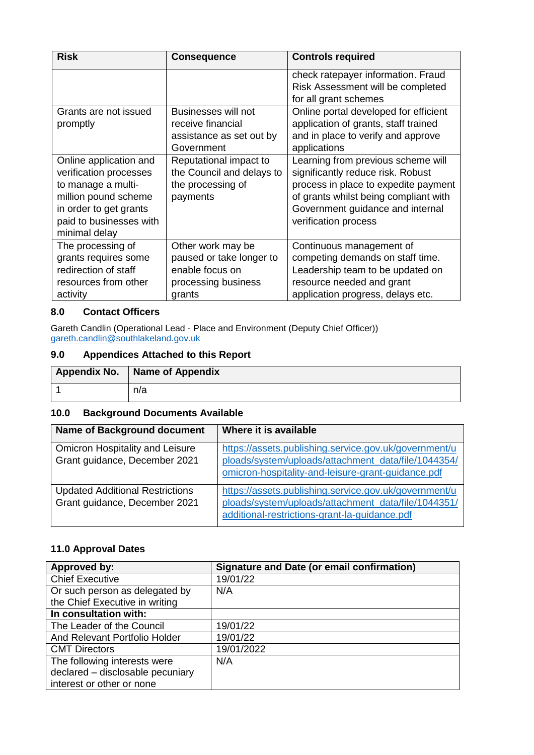| <b>Risk</b>                                                                                                                                                          | <b>Consequence</b>                                                                                | <b>Controls required</b>                                                                                                                                                                                             |
|----------------------------------------------------------------------------------------------------------------------------------------------------------------------|---------------------------------------------------------------------------------------------------|----------------------------------------------------------------------------------------------------------------------------------------------------------------------------------------------------------------------|
|                                                                                                                                                                      |                                                                                                   | check ratepayer information. Fraud<br>Risk Assessment will be completed<br>for all grant schemes                                                                                                                     |
| Grants are not issued<br>promptly                                                                                                                                    | Businesses will not<br>receive financial<br>assistance as set out by<br>Government                | Online portal developed for efficient<br>application of grants, staff trained<br>and in place to verify and approve<br>applications                                                                                  |
| Online application and<br>verification processes<br>to manage a multi-<br>million pound scheme<br>in order to get grants<br>paid to businesses with<br>minimal delay | Reputational impact to<br>the Council and delays to<br>the processing of<br>payments              | Learning from previous scheme will<br>significantly reduce risk. Robust<br>process in place to expedite payment<br>of grants whilst being compliant with<br>Government guidance and internal<br>verification process |
| The processing of<br>grants requires some<br>redirection of staff<br>resources from other<br>activity                                                                | Other work may be<br>paused or take longer to<br>enable focus on<br>processing business<br>grants | Continuous management of<br>competing demands on staff time.<br>Leadership team to be updated on<br>resource needed and grant<br>application progress, delays etc.                                                   |

# **8.0 Contact Officers**

Gareth Candlin (Operational Lead - Place and Environment (Deputy Chief Officer)) [gareth.candlin@southlakeland.gov.uk](mailto:gareth.candlin@southlakeland.gov.uk)

# **9.0 Appendices Attached to this Report**

| Appendix No.   Name of Appendix |
|---------------------------------|
| n/a                             |

### **10.0 Background Documents Available**

| <b>Name of Background document</b>                                      | Where it is available                                                                                                                                              |
|-------------------------------------------------------------------------|--------------------------------------------------------------------------------------------------------------------------------------------------------------------|
| <b>Omicron Hospitality and Leisure</b><br>Grant guidance, December 2021 | https://assets.publishing.service.gov.uk/government/u<br>ploads/system/uploads/attachment_data/file/1044354/<br>omicron-hospitality-and-leisure-grant-guidance.pdf |
| <b>Updated Additional Restrictions</b><br>Grant guidance, December 2021 | https://assets.publishing.service.gov.uk/government/u<br>ploads/system/uploads/attachment_data/file/1044351/<br>additional-restrictions-grant-la-guidance.pdf      |

# **11.0 Approval Dates**

| Approved by:                     | <b>Signature and Date (or email confirmation)</b> |
|----------------------------------|---------------------------------------------------|
| <b>Chief Executive</b>           | 19/01/22                                          |
| Or such person as delegated by   | N/A                                               |
| the Chief Executive in writing   |                                                   |
| In consultation with:            |                                                   |
| The Leader of the Council        | 19/01/22                                          |
| And Relevant Portfolio Holder    | 19/01/22                                          |
| <b>CMT Directors</b>             | 19/01/2022                                        |
| The following interests were     | N/A                                               |
| declared - disclosable pecuniary |                                                   |
| interest or other or none        |                                                   |